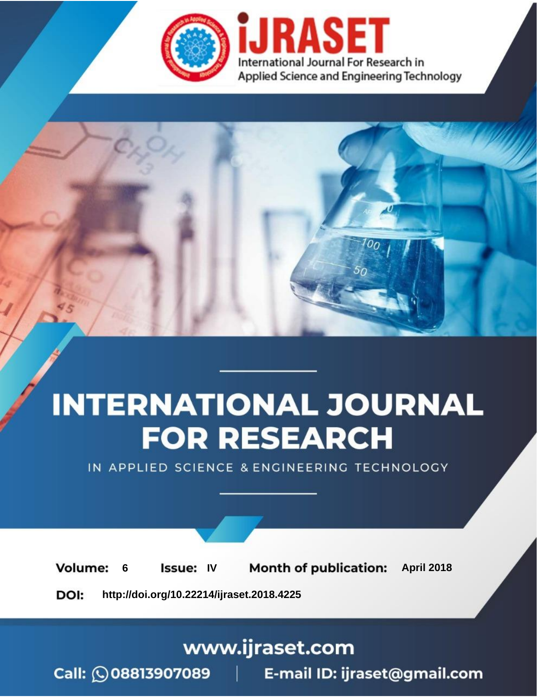

# **INTERNATIONAL JOURNAL FOR RESEARCH**

IN APPLIED SCIENCE & ENGINEERING TECHNOLOGY

**6 Issue: IV Month of publication:** April 2018 **Volume:** 

**http://doi.org/10.22214/ijraset.2018.4225**DOI:

www.ijraset.com

Call: 008813907089 | E-mail ID: ijraset@gmail.com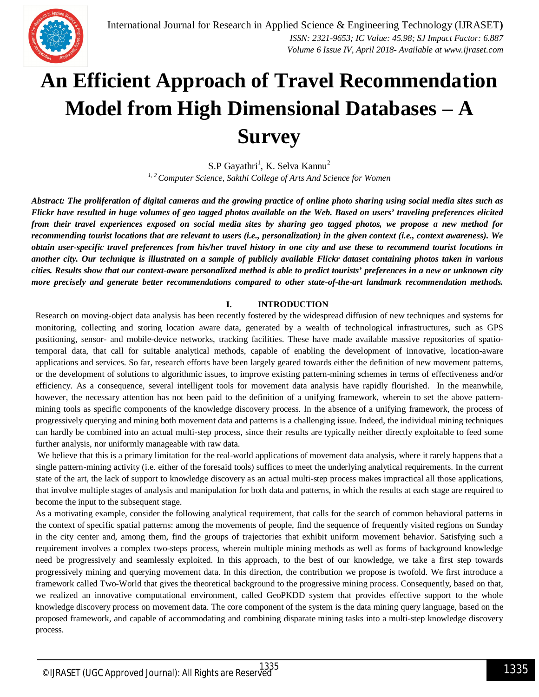

### **An Efficient Approach of Travel Recommendation Model from High Dimensional Databases – A Survey**

S.P Gayathri<sup>1</sup>, K. Selva Kannu<sup>2</sup> *1, 2 Computer Science, Sakthi College of Arts And Science for Women*

*Abstract: The proliferation of digital cameras and the growing practice of online photo sharing using social media sites such as Flickr have resulted in huge volumes of geo tagged photos available on the Web. Based on users' traveling preferences elicited from their travel experiences exposed on social media sites by sharing geo tagged photos, we propose a new method for recommending tourist locations that are relevant to users (i.e., personalization) in the given context (i.e., context awareness). We obtain user-specific travel preferences from his/her travel history in one city and use these to recommend tourist locations in another city. Our technique is illustrated on a sample of publicly available Flickr dataset containing photos taken in various cities. Results show that our context-aware personalized method is able to predict tourists' preferences in a new or unknown city more precisely and generate better recommendations compared to other state-of-the-art landmark recommendation methods.*

#### **I. INTRODUCTION**

Research on moving-object data analysis has been recently fostered by the widespread diffusion of new techniques and systems for monitoring, collecting and storing location aware data, generated by a wealth of technological infrastructures, such as GPS positioning, sensor- and mobile-device networks, tracking facilities. These have made available massive repositories of spatiotemporal data, that call for suitable analytical methods, capable of enabling the development of innovative, location-aware applications and services. So far, research efforts have been largely geared towards either the definition of new movement patterns, or the development of solutions to algorithmic issues, to improve existing pattern-mining schemes in terms of effectiveness and/or efficiency. As a consequence, several intelligent tools for movement data analysis have rapidly flourished. In the meanwhile, however, the necessary attention has not been paid to the definition of a unifying framework, wherein to set the above patternmining tools as specific components of the knowledge discovery process. In the absence of a unifying framework, the process of progressively querying and mining both movement data and patterns is a challenging issue. Indeed, the individual mining techniques can hardly be combined into an actual multi-step process, since their results are typically neither directly exploitable to feed some further analysis, nor uniformly manageable with raw data.

We believe that this is a primary limitation for the real-world applications of movement data analysis, where it rarely happens that a single pattern-mining activity (i.e. either of the foresaid tools) suffices to meet the underlying analytical requirements. In the current state of the art, the lack of support to knowledge discovery as an actual multi-step process makes impractical all those applications, that involve multiple stages of analysis and manipulation for both data and patterns, in which the results at each stage are required to become the input to the subsequent stage.

As a motivating example, consider the following analytical requirement, that calls for the search of common behavioral patterns in the context of specific spatial patterns: among the movements of people, find the sequence of frequently visited regions on Sunday in the city center and, among them, find the groups of trajectories that exhibit uniform movement behavior. Satisfying such a requirement involves a complex two-steps process, wherein multiple mining methods as well as forms of background knowledge need be progressively and seamlessly exploited. In this approach, to the best of our knowledge, we take a first step towards progressively mining and querying movement data. In this direction, the contribution we propose is twofold. We first introduce a framework called Two-World that gives the theoretical background to the progressive mining process. Consequently, based on that, we realized an innovative computational environment, called GeoPKDD system that provides effective support to the whole knowledge discovery process on movement data. The core component of the system is the data mining query language, based on the proposed framework, and capable of accommodating and combining disparate mining tasks into a multi-step knowledge discovery process.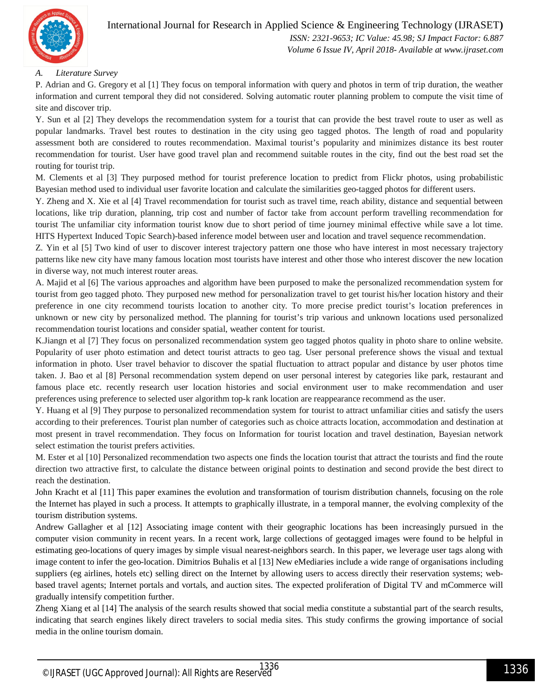

#### International Journal for Research in Applied Science & Engineering Technology (IJRASET**)**  *ISSN: 2321-9653; IC Value: 45.98; SJ Impact Factor: 6.887*

*Volume 6 Issue IV, April 2018- Available at www.ijraset.com*

#### *A. Literature Survey*

P. Adrian and G. Gregory et al [1] They focus on temporal information with query and photos in term of trip duration, the weather information and current temporal they did not considered. Solving automatic router planning problem to compute the visit time of site and discover trip.

Y. Sun et al [2] They develops the recommendation system for a tourist that can provide the best travel route to user as well as popular landmarks. Travel best routes to destination in the city using geo tagged photos. The length of road and popularity assessment both are considered to routes recommendation. Maximal tourist's popularity and minimizes distance its best router recommendation for tourist. User have good travel plan and recommend suitable routes in the city, find out the best road set the routing for tourist trip.

M. Clements et al [3] They purposed method for tourist preference location to predict from Flickr photos, using probabilistic Bayesian method used to individual user favorite location and calculate the similarities geo-tagged photos for different users.

Y. Zheng and X. Xie et al [4] Travel recommendation for tourist such as travel time, reach ability, distance and sequential between locations, like trip duration, planning, trip cost and number of factor take from account perform travelling recommendation for tourist The unfamiliar city information tourist know due to short period of time journey minimal effective while save a lot time. HITS Hypertext Induced Topic Search)-based inference model between user and location and travel sequence recommendation.

Z. Yin et al [5] Two kind of user to discover interest trajectory pattern one those who have interest in most necessary trajectory patterns like new city have many famous location most tourists have interest and other those who interest discover the new location in diverse way, not much interest router areas.

A. Majid et al [6] The various approaches and algorithm have been purposed to make the personalized recommendation system for tourist from geo tagged photo. They purposed new method for personalization travel to get tourist his/her location history and their preference in one city recommend tourists location to another city. To more precise predict tourist's location preferences in unknown or new city by personalized method. The planning for tourist's trip various and unknown locations used personalized recommendation tourist locations and consider spatial, weather content for tourist.

K.Jiangn et al [7] They focus on personalized recommendation system geo tagged photos quality in photo share to online website. Popularity of user photo estimation and detect tourist attracts to geo tag. User personal preference shows the visual and textual information in photo. User travel behavior to discover the spatial fluctuation to attract popular and distance by user photos time taken. J. Bao et al [8] Personal recommendation system depend on user personal interest by categories like park, restaurant and famous place etc. recently research user location histories and social environment user to make recommendation and user preferences using preference to selected user algorithm top-k rank location are reappearance recommend as the user.

Y. Huang et al [9] They purpose to personalized recommendation system for tourist to attract unfamiliar cities and satisfy the users according to their preferences. Tourist plan number of categories such as choice attracts location, accommodation and destination at most present in travel recommendation. They focus on Information for tourist location and travel destination, Bayesian network select estimation the tourist prefers activities.

M. Ester et al [10] Personalized recommendation two aspects one finds the location tourist that attract the tourists and find the route direction two attractive first, to calculate the distance between original points to destination and second provide the best direct to reach the destination.

John Kracht et al [11] This paper examines the evolution and transformation of tourism distribution channels, focusing on the role the Internet has played in such a process. It attempts to graphically illustrate, in a temporal manner, the evolving complexity of the tourism distribution systems.

Andrew Gallagher et al [12] Associating image content with their geographic locations has been increasingly pursued in the computer vision community in recent years. In a recent work, large collections of geotagged images were found to be helpful in estimating geo-locations of query images by simple visual nearest-neighbors search. In this paper, we leverage user tags along with image content to infer the geo-location. Dimitrios Buhalis et al [13] New eMediaries include a wide range of organisations including suppliers (eg airlines, hotels etc) selling direct on the Internet by allowing users to access directly their reservation systems; webbased travel agents; Internet portals and vortals, and auction sites. The expected proliferation of Digital TV and mCommerce will gradually intensify competition further.

Zheng Xiang et al [14] The analysis of the search results showed that social media constitute a substantial part of the search results, indicating that search engines likely direct travelers to social media sites. This study confirms the growing importance of social media in the online tourism domain.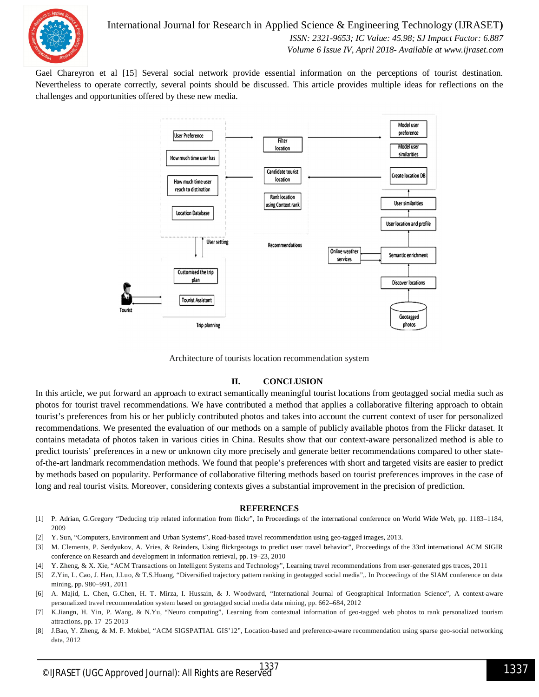

Gael Chareyron et al [15] Several social network provide essential information on the perceptions of tourist destination. Nevertheless to operate correctly, several points should be discussed. This article provides multiple ideas for reflections on the challenges and opportunities offered by these new media.



Architecture of tourists location recommendation system

#### **II. CONCLUSION**

In this article, we put forward an approach to extract semantically meaningful tourist locations from geotagged social media such as photos for tourist travel recommendations. We have contributed a method that applies a collaborative filtering approach to obtain tourist's preferences from his or her publicly contributed photos and takes into account the current context of user for personalized recommendations. We presented the evaluation of our methods on a sample of publicly available photos from the Flickr dataset. It contains metadata of photos taken in various cities in China. Results show that our context-aware personalized method is able to predict tourists' preferences in a new or unknown city more precisely and generate better recommendations compared to other stateof-the-art landmark recommendation methods. We found that people's preferences with short and targeted visits are easier to predict by methods based on popularity. Performance of collaborative filtering methods based on tourist preferences improves in the case of long and real tourist visits. Moreover, considering contexts gives a substantial improvement in the precision of prediction.

#### **REFERENCES**

- [1] P. Adrian, G.Gregory "Deducing trip related information from flickr", In Proceedings of the international conference on World Wide Web, pp. 1183–1184, 2009
- [2] Y. Sun, "Computers, Environment and Urban Systems", Road-based travel recommendation using geo-tagged images, 2013.
- [3] M. Clements, P. Serdyukov, A. Vries, & Reinders, Using flickrgeotags to predict user travel behavior", Proceedings of the 33rd international ACM SIGIR conference on Research and development in information retrieval, pp. 19–23, 2010
- [4] Y. Zheng, & X. Xie, "ACM Transactions on Intelligent Systems and Technology", Learning travel recommendations from user-generated gps traces, 2011
- [5] Z.Yin, L. Cao, J. Han, J.Luo, & T.S.Huang, "Diversified trajectory pattern ranking in geotagged social media",. In Proceedings of the SIAM conference on data mining, pp. 980–991, 2011
- [6] A. Majid, L. Chen, G.Chen, H. T. Mirza, I. Hussain, & J. Woodward, "International Journal of Geographical Information Science", A context-aware personalized travel recommendation system based on geotagged social media data mining, pp. 662–684, 2012
- [7] K.Jiangn, H. Yin, P. Wang, & N.Yu, "Neuro computing", Learning from contextual information of geo-tagged web photos to rank personalized tourism attractions, pp. 17–25 2013
- [8] J.Bao, Y. Zheng, & M. F. Mokbel, "ACM SIGSPATIAL GIS'12", Location-based and preference-aware recommendation using sparse geo-social networking data, 2012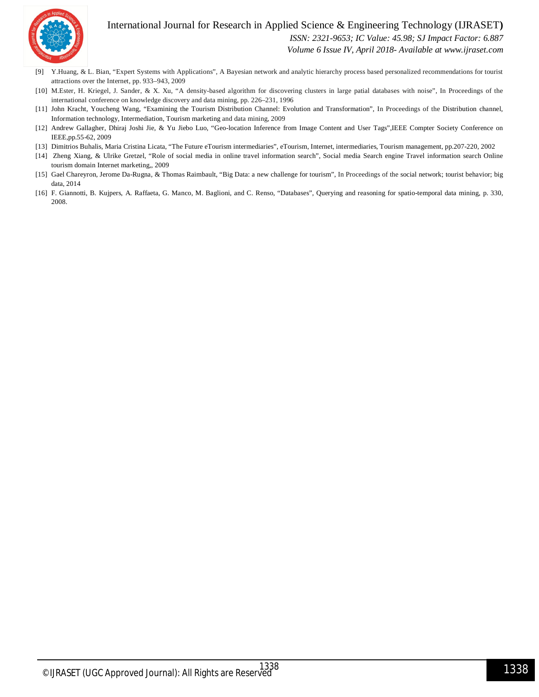

#### International Journal for Research in Applied Science & Engineering Technology (IJRASET**)**  *ISSN: 2321-9653; IC Value: 45.98; SJ Impact Factor: 6.887*

*Volume 6 Issue IV, April 2018- Available at www.ijraset.com*

- [9] Y.Huang, & L. Bian, "Expert Systems with Applications", A Bayesian network and analytic hierarchy process based personalized recommendations for tourist attractions over the Internet, pp. 933–943, 2009
- [10] M.Ester, H. Kriegel, J. Sander, & X. Xu, "A density-based algorithm for discovering clusters in large patial databases with noise", In Proceedings of the international conference on knowledge discovery and data mining, pp. 226–231, 1996
- [11] John Kracht, Youcheng Wang, "Examining the Tourism Distribution Channel: Evolution and Transformation", In Proceedings of the Distribution channel, Information technology, Intermediation, Tourism marketing and data mining, 2009
- [12] Andrew Gallagher, Dhiraj Joshi Jie, & Yu Jiebo Luo, "Geo-location Inference from Image Content and User Tags",IEEE Compter Society Conference on IEEE,pp.55-62, 2009
- [13] Dimitrios Buhalis, Maria Cristina Licata, "The Future eTourism intermediaries", eTourism, Internet, intermediaries, Tourism management, pp.207-220, 2002
- [14] Zheng Xiang, & Ulrike Gretzel, "Role of social media in online travel information search", Social media Search engine Travel information search Online tourism domain Internet marketing,, 2009
- [15] Gael Chareyron, Jerome Da-Rugna, & Thomas Raimbault, "Big Data: a new challenge for tourism", In Proceedings of the social network; tourist behavior; big data, 2014
- [16] F. Giannotti, B. Kujpers, A. Raffaeta, G. Manco, M. Baglioni, and C. Renso, "Databases", Querying and reasoning for spatio-temporal data mining, p. 330, 2008.